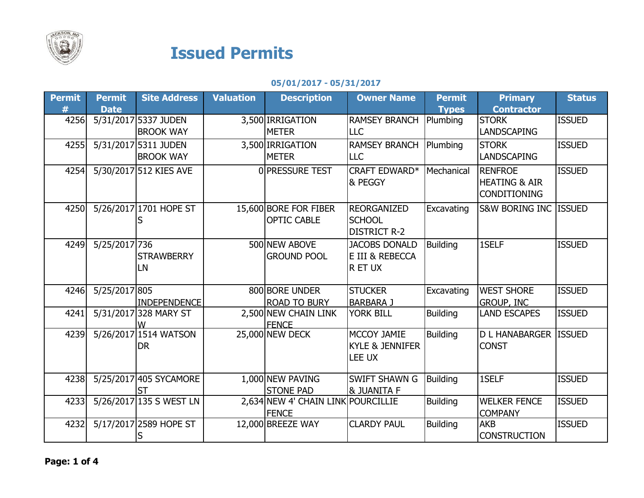

## Issued Permits

05/01/2017 - 05/31/2017

| <b>Permit</b> | <b>Permit</b> | <b>Site Address</b>     | <b>Valuation</b> | <b>Description</b>                   | <b>Owner Name</b>          | <b>Permit</b>   | <b>Primary</b>           | <b>Status</b> |
|---------------|---------------|-------------------------|------------------|--------------------------------------|----------------------------|-----------------|--------------------------|---------------|
| #             | <b>Date</b>   |                         |                  |                                      |                            | <b>Types</b>    | <b>Contractor</b>        |               |
| 4256          |               | 5/31/2017 5337 JUDEN    |                  | 3,500 IRRIGATION                     | <b>RAMSEY BRANCH</b>       | Plumbing        | <b>STORK</b>             | <b>ISSUED</b> |
|               |               | <b>BROOK WAY</b>        |                  | <b>METER</b>                         | <b>LLC</b>                 |                 | <b>LANDSCAPING</b>       |               |
| 4255          |               | 5/31/2017 5311 JUDEN    |                  | 3,500 IRRIGATION                     | <b>RAMSEY BRANCH</b>       | Plumbing        | <b>STORK</b>             | <b>ISSUED</b> |
|               |               | <b>BROOK WAY</b>        |                  | <b>METER</b>                         | <b>LLC</b>                 |                 | <b>LANDSCAPING</b>       |               |
| 4254          |               | 5/30/2017 512 KIES AVE  |                  | 0 PRESSURE TEST                      | CRAFT EDWARD*              | Mechanical      | <b>RENFROE</b>           | <b>ISSUED</b> |
|               |               |                         |                  |                                      | & PEGGY                    |                 | <b>HEATING &amp; AIR</b> |               |
|               |               |                         |                  |                                      |                            |                 | <b>CONDITIONING</b>      |               |
| 4250          |               | 5/26/2017 1701 HOPE ST  |                  | 15,600 BORE FOR FIBER                | <b>REORGANIZED</b>         | Excavating      | S&W BORING INC ISSUED    |               |
|               |               |                         |                  | <b>OPTIC CABLE</b>                   | <b>SCHOOL</b>              |                 |                          |               |
|               |               |                         |                  |                                      | <b>DISTRICT R-2</b>        |                 |                          |               |
| 4249          | 5/25/2017 736 |                         |                  | 500 NEW ABOVE                        | <b>JACOBS DONALD</b>       | <b>Building</b> | 1SELF                    | <b>ISSUED</b> |
|               |               | <b>STRAWBERRY</b>       |                  | <b>GROUND POOL</b>                   | E III & REBECCA            |                 |                          |               |
|               |               | LN                      |                  |                                      | R ET UX                    |                 |                          |               |
|               |               |                         |                  |                                      |                            |                 |                          |               |
| 4246          | 5/25/2017 805 |                         |                  | 800 BORE UNDER                       | <b>STUCKER</b>             | Excavating      | <b>WEST SHORE</b>        | <b>ISSUED</b> |
|               |               | <b>INDEPENDENCE</b>     |                  | <b>ROAD TO BURY</b>                  | <b>BARBARA J</b>           |                 | <b>GROUP, INC</b>        |               |
| 4241          |               | 5/31/2017 328 MARY ST   |                  | 2,500 NEW CHAIN LINK<br><b>FENCE</b> | <b>YORK BILL</b>           | <b>Building</b> | <b>LAND ESCAPES</b>      | <b>ISSUED</b> |
| 4239          |               | 5/26/2017 1514 WATSON   |                  | 25,000 NEW DECK                      | MCCOY JAMIE                | <b>Building</b> | <b>D L HANABARGER</b>    | <b>ISSUED</b> |
|               |               | <b>DR</b>               |                  |                                      | <b>KYLE &amp; JENNIFER</b> |                 | <b>CONST</b>             |               |
|               |               |                         |                  |                                      | LEE UX                     |                 |                          |               |
|               |               |                         |                  |                                      |                            |                 |                          |               |
| 4238          |               | 5/25/2017 405 SYCAMORE  |                  | 1,000 NEW PAVING                     | <b>SWIFT SHAWN G</b>       | <b>Building</b> | 1SELF                    | <b>ISSUED</b> |
|               |               | <b>ST</b>               |                  | <b>STONE PAD</b>                     | <b>&amp; JUANITA F</b>     |                 |                          |               |
| 4233          |               | 5/26/2017 135 S WEST LN |                  | 2,634 NEW 4' CHAIN LINK              | <b>POURCILLIE</b>          | <b>Building</b> | <b>WELKER FENCE</b>      | <b>ISSUED</b> |
|               |               |                         |                  | <b>FENCE</b>                         |                            |                 | <b>COMPANY</b>           |               |
| 4232          |               | 5/17/2017 2589 HOPE ST  |                  | 12,000 BREEZE WAY                    | <b>CLARDY PAUL</b>         | Building        | <b>AKB</b>               | <b>ISSUED</b> |
|               |               |                         |                  |                                      |                            |                 | <b>CONSTRUCTION</b>      |               |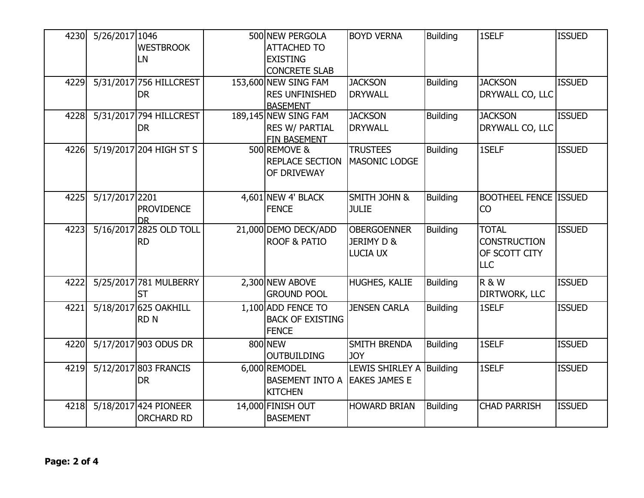| 4230 | 5/26/2017 1046 | <b>WESTBROOK</b><br>LN                     | 500 NEW PERGOLA<br><b>ATTACHED TO</b><br><b>EXISTING</b><br><b>CONCRETE SLAB</b> | <b>BOYD VERNA</b>                              | <b>Building</b> | 1SELF                                                              | <b>ISSUED</b> |
|------|----------------|--------------------------------------------|----------------------------------------------------------------------------------|------------------------------------------------|-----------------|--------------------------------------------------------------------|---------------|
| 4229 |                | 5/31/2017 756 HILLCREST<br><b>DR</b>       | 153,600 NEW SING FAM<br><b>RES UNFINISHED</b><br><b>BASEMENT</b>                 | <b>JACKSON</b><br><b>DRYWALL</b>               | <b>Building</b> | <b>JACKSON</b><br>DRYWALL CO, LLC                                  | <b>ISSUED</b> |
| 4228 |                | 5/31/2017 794 HILLCREST<br><b>DR</b>       | 189,145 NEW SING FAM<br><b>RES W/ PARTIAL</b><br>FIN BASEMENT                    | <b>JACKSON</b><br><b>DRYWALL</b>               | <b>Building</b> | <b>JACKSON</b><br>DRYWALL CO, LLC                                  | <b>ISSUED</b> |
| 4226 |                | 5/19/2017 204 HIGH ST S                    | 500 REMOVE &<br>REPLACE SECTION<br>OF DRIVEWAY                                   | <b>TRUSTEES</b><br><b>MASONIC LODGE</b>        | <b>Building</b> | 1SELF                                                              | <b>ISSUED</b> |
| 4225 | 5/17/2017 2201 | <b>PROVIDENCE</b><br><b>DR</b>             | 4,601 NEW 4' BLACK<br><b>FENCE</b>                                               | SMITH JOHN &<br><b>JULIE</b>                   | <b>Building</b> | <b>BOOTHEEL FENCE ISSUED</b><br>CO                                 |               |
| 4223 |                | 5/16/2017 2825 OLD TOLL<br><b>RD</b>       | 21,000 DEMO DECK/ADD<br><b>ROOF &amp; PATIO</b>                                  | <b>OBERGOENNER</b><br>JERIMY D &<br>LUCIA UX   | <b>Building</b> | <b>TOTAL</b><br><b>CONSTRUCTION</b><br>OF SCOTT CITY<br><b>LLC</b> | <b>ISSUED</b> |
| 4222 |                | 5/25/2017 781 MULBERRY<br>ST               | 2,300 NEW ABOVE<br><b>GROUND POOL</b>                                            | HUGHES, KALIE                                  | <b>Building</b> | <b>R &amp; W</b><br><b>DIRTWORK, LLC</b>                           | <b>ISSUED</b> |
| 4221 |                | 5/18/2017 625 OAKHILL<br><b>RDN</b>        | 1,100 ADD FENCE TO<br><b>BACK OF EXISTING</b><br><b>FENCE</b>                    | <b>JENSEN CARLA</b>                            | <b>Building</b> | 1SELF                                                              | <b>ISSUED</b> |
| 4220 |                | 5/17/2017 903 ODUS DR                      | 800 NEW<br><b>OUTBUILDING</b>                                                    | SMITH BRENDA<br><b>JOY</b>                     | <b>Building</b> | 1SELF                                                              | <b>ISSUED</b> |
| 4219 |                | 5/12/2017 803 FRANCIS<br><b>DR</b>         | 6,000 REMODEL<br><b>BASEMENT INTO A</b><br><b>KITCHEN</b>                        | <b>LEWIS SHIRLEY A</b><br><b>EAKES JAMES E</b> | Building        | 1SELF                                                              | <b>ISSUED</b> |
| 4218 |                | 5/18/2017 424 PIONEER<br><b>ORCHARD RD</b> | 14,000 FINISH OUT<br><b>BASEMENT</b>                                             | <b>HOWARD BRIAN</b>                            | <b>Building</b> | <b>CHAD PARRISH</b>                                                | <b>ISSUED</b> |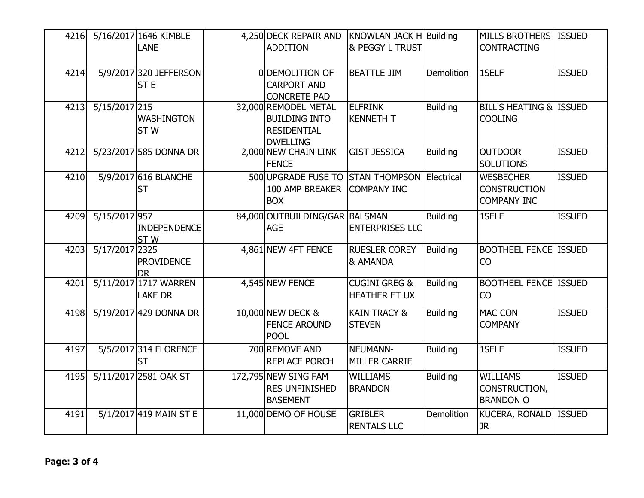| 4216 |                | 5/16/2017 1646 KIMBLE<br><b>LANE</b>    | 4,250 DECK REPAIR AND<br><b>ADDITION</b>                                              | KNOWLAN JACK H Building<br><b>&amp; PEGGY L TRUST</b> |                   | MILLS BROTHERS ISSUED<br><b>CONTRACTING</b>                   |               |
|------|----------------|-----------------------------------------|---------------------------------------------------------------------------------------|-------------------------------------------------------|-------------------|---------------------------------------------------------------|---------------|
| 4214 |                | 5/9/2017 320 JEFFERSON<br><b>STE</b>    | 0 DEMOLITION OF<br><b>CARPORT AND</b><br><b>CONCRETE PAD</b>                          | <b>BEATTLE JIM</b>                                    | <b>Demolition</b> | 1SELF                                                         | <b>ISSUED</b> |
| 4213 | 5/15/2017 215  | <b>WASHINGTON</b><br>ST <sub>W</sub>    | 32,000 REMODEL METAL<br><b>BUILDING INTO</b><br><b>RESIDENTIAL</b><br><b>DWELLING</b> | <b>ELFRINK</b><br><b>KENNETH T</b>                    | <b>Building</b>   | BILL'S HEATING & ISSUED<br><b>COOLING</b>                     |               |
| 4212 |                | 5/23/2017 585 DONNA DR                  | 2,000 NEW CHAIN LINK<br><b>FENCE</b>                                                  | <b>GIST JESSICA</b>                                   | <b>Building</b>   | <b>OUTDOOR</b><br><b>SOLUTIONS</b>                            | <b>ISSUED</b> |
| 4210 |                | 5/9/2017 616 BLANCHE<br><b>ST</b>       | 500 UPGRADE FUSE TO<br>100 AMP BREAKER<br><b>BOX</b>                                  | <b>STAN THOMPSON</b><br><b>COMPANY INC</b>            | Electrical        | <b>WESBECHER</b><br><b>CONSTRUCTION</b><br><b>COMPANY INC</b> | <b>ISSUED</b> |
| 4209 | 5/15/2017 957  | <b>INDEPENDENCE</b><br>ST <sub>W</sub>  | 84,000 OUTBUILDING/GAR BALSMAN<br><b>AGE</b>                                          | <b>ENTERPRISES LLC</b>                                | <b>Building</b>   | 1SELF                                                         | <b>ISSUED</b> |
| 4203 | 5/17/2017 2325 | <b>PROVIDENCE</b><br><b>DR</b>          | 4,861 NEW 4FT FENCE                                                                   | <b>RUESLER COREY</b><br>& AMANDA                      | <b>Building</b>   | <b>BOOTHEEL FENCE ISSUED</b><br><b>CO</b>                     |               |
| 4201 |                | 5/11/2017 1717 WARREN<br><b>LAKE DR</b> | 4,545 NEW FENCE                                                                       | <b>CUGINI GREG &amp;</b><br><b>HEATHER ET UX</b>      | <b>Building</b>   | <b>BOOTHEEL FENCE ISSUED</b><br><b>CO</b>                     |               |
| 4198 |                | 5/19/2017 429 DONNA DR                  | 10,000 NEW DECK &<br><b>FENCE AROUND</b><br><b>POOL</b>                               | <b>KAIN TRACY &amp;</b><br><b>STEVEN</b>              | <b>Building</b>   | <b>MAC CON</b><br><b>COMPANY</b>                              | <b>ISSUED</b> |
| 4197 |                | 5/5/2017 314 FLORENCE<br><b>ST</b>      | 700 REMOVE AND<br><b>REPLACE PORCH</b>                                                | NEUMANN-<br><b>MILLER CARRIE</b>                      | <b>Building</b>   | 1SELF                                                         | <b>ISSUED</b> |
| 4195 |                | 5/11/2017 2581 OAK ST                   | 172,795 NEW SING FAM<br><b>RES UNFINISHED</b><br><b>BASEMENT</b>                      | <b>WILLIAMS</b><br><b>BRANDON</b>                     | <b>Building</b>   | <b>WILLIAMS</b><br>CONSTRUCTION,<br><b>BRANDON O</b>          | <b>ISSUED</b> |
| 4191 |                | 5/1/2017 419 MAIN ST E                  | 11,000 DEMO OF HOUSE                                                                  | <b>GRIBLER</b><br><b>RENTALS LLC</b>                  | <b>Demolition</b> | KUCERA, RONALD   ISSUED<br><b>JR</b>                          |               |